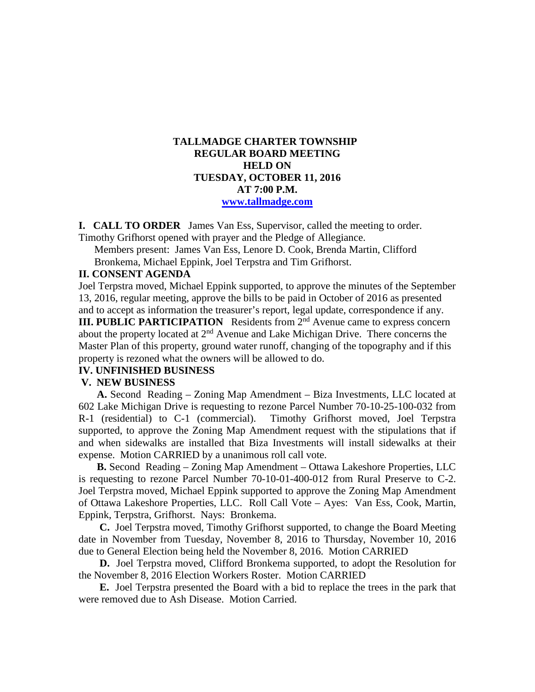# **TALLMADGE CHARTER TOWNSHIP REGULAR BOARD MEETING HELD ON TUESDAY, OCTOBER 11, 2016 AT 7:00 P.M. [www.tallmadge.com](http://www.tallmadge.com/)**

**I. CALL TO ORDER** James Van Ess, Supervisor, called the meeting to order. Timothy Grifhorst opened with prayer and the Pledge of Allegiance.

Members present: James Van Ess, Lenore D. Cook, Brenda Martin, Clifford Bronkema, Michael Eppink, Joel Terpstra and Tim Grifhorst.

### **II. CONSENT AGENDA**

Joel Terpstra moved, Michael Eppink supported, to approve the minutes of the September 13, 2016, regular meeting, approve the bills to be paid in October of 2016 as presented and to accept as information the treasurer's report, legal update, correspondence if any.

**III. PUBLIC PARTICIPATION** Residents from 2<sup>nd</sup> Avenue came to express concern about the property located at 2<sup>nd</sup> Avenue and Lake Michigan Drive. There concerns the Master Plan of this property, ground water runoff, changing of the topography and if this property is rezoned what the owners will be allowed to do.

#### **IV. UNFINISHED BUSINESS**

#### **V. NEW BUSINESS**

 **A.** Second Reading – Zoning Map Amendment – Biza Investments, LLC located at 602 Lake Michigan Drive is requesting to rezone Parcel Number 70-10-25-100-032 from R-1 (residential) to C-1 (commercial). Timothy Grifhorst moved, Joel Terpstra supported, to approve the Zoning Map Amendment request with the stipulations that if and when sidewalks are installed that Biza Investments will install sidewalks at their expense. Motion CARRIED by a unanimous roll call vote.

 **B.** Second Reading – Zoning Map Amendment – Ottawa Lakeshore Properties, LLC is requesting to rezone Parcel Number 70-10-01-400-012 from Rural Preserve to C-2. Joel Terpstra moved, Michael Eppink supported to approve the Zoning Map Amendment of Ottawa Lakeshore Properties, LLC. Roll Call Vote – Ayes: Van Ess, Cook, Martin, Eppink, Terpstra, Grifhorst. Nays: Bronkema.

 **C.** Joel Terpstra moved, Timothy Grifhorst supported, to change the Board Meeting date in November from Tuesday, November 8, 2016 to Thursday, November 10, 2016 due to General Election being held the November 8, 2016. Motion CARRIED

 **D.** Joel Terpstra moved, Clifford Bronkema supported, to adopt the Resolution for the November 8, 2016 Election Workers Roster. Motion CARRIED

 **E.** Joel Terpstra presented the Board with a bid to replace the trees in the park that were removed due to Ash Disease. Motion Carried.